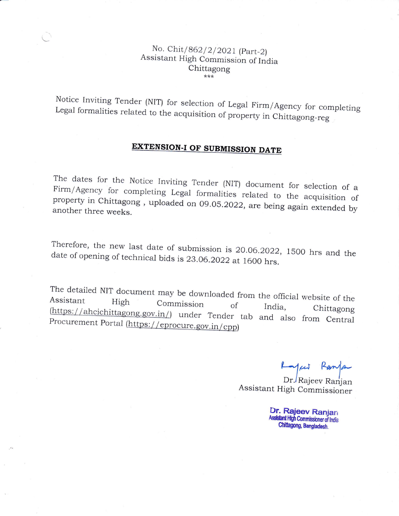## No. Chit/862/2/2021 (Part-2)<br>Assistant High Commission of India Chittagong  $***$

Notice Inviting Tender (NIT) for selection of Legal Firm/Agency for completing Legal formalities related to the acquisition of property in Chittagong-reg

# **EXTENSION-I OF SUBMISSION DATE**

The dates for the Notice Inviting Tender (NIT) document for selection of a Firm/Agency dates for the Notice Inviting Tender (NIT) document for selection of a<br>/Agency for completing Legal formalities related to the acquisition of property in Chittagong, uploaded on 09.05.2022, are being again extended by another three weeks

Therefore, the new last date of submission is 20.06.2022, 1500 hrs and the<br>date of opening of technical bids is 23.06.2022 at 1600 hrs. date of opening of technical bids is 23.06.2022 at 1600 hrs.

The detailed NiT document may be downloaded The detailed N11 document may be downloaded from the official website of the<br>Assistant high Commission of India, Chittagong Procurement Portal (https://eprocure.gov.in/cpp) (https://ahcichittagong.gov.in/) under Tender tab and also from Central

Layers Ranja

Dr./Rajeev Ranjan Assistant High Commissioner

> Dr. Rajeev Ranjan Assistant High Commissioner of India Chittagong, Bangladesh.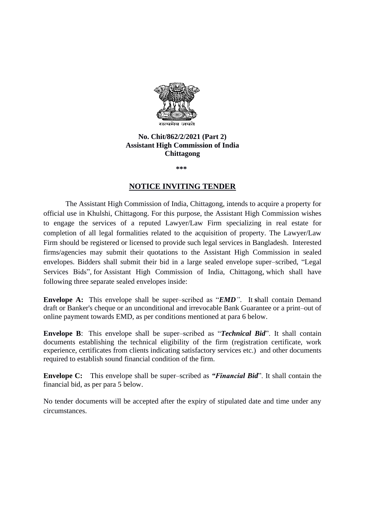

#### **No. Chit/862/2/2021 (Part 2) Assistant High Commission of India Chittagong**

**\*\*\***

#### **NOTICE INVITING TENDER**

The Assistant High Commission of India, Chittagong, intends to acquire a property for official use in Khulshi, Chittagong. For this purpose, the Assistant High Commission wishes to engage the services of a reputed Lawyer/Law Firm specializing in real estate for completion of all legal formalities related to the acquisition of property. The Lawyer/Law Firm should be registered or licensed to provide such legal services in Bangladesh.Interested firms/agencies may submit their quotations to the Assistant High Commission in sealed envelopes. Bidders shall submit their bid in a large sealed envelope super–scribed, "Legal Services Bids", for Assistant High Commission of India, Chittagong, which shall have following three separate sealed envelopes inside:

**Envelope A:** This envelope shall be super–scribed as "*EMD"*. It **s**hall contain Demand draft or Banker's cheque or an unconditional and irrevocable Bank Guarantee or a print–out of online payment towards EMD, as per conditions mentioned at para 6 below.

**Envelope B**: This envelope shall be super–scribed as "*Technical Bid*". It shall contain documents establishing the technical eligibility of the firm (registration certificate, work experience, certificates from clients indicating satisfactory services etc.) and other documents required to establish sound financial condition of the firm.

**Envelope C:** This envelope shall be super–scribed as *"Financial Bid*". It shall contain the financial bid, as per para 5 below.

No tender documents will be accepted after the expiry of stipulated date and time under any circumstances.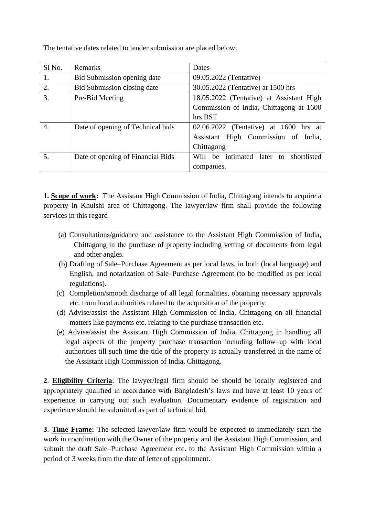The tentative dates related to tender submission are placed below:

| Sl No.           | Remarks                           | Dates                                     |
|------------------|-----------------------------------|-------------------------------------------|
| 1.               | Bid Submission opening date       | 09.05.2022 (Tentative)                    |
| 2.               | Bid Submission closing date       | 30.05.2022 (Tentative) at 1500 hrs        |
| 3.               | Pre-Bid Meeting                   | 18.05.2022 (Tentative) at Assistant High  |
|                  |                                   | Commission of India, Chittagong at 1600   |
|                  |                                   | hrs BST                                   |
| $\overline{4}$ . | Date of opening of Technical bids | 02.06.2022 (Tentative) at 1600 hrs at     |
|                  |                                   | Assistant High Commission of India,       |
|                  |                                   | Chittagong                                |
| 5.               | Date of opening of Financial Bids | intimated later to shortlisted<br>Will be |
|                  |                                   | companies.                                |

**1. Scope of work:** The Assistant High Commission of India, Chittagong intends to acquire a property in Khulshi area of Chittagong. The lawyer/law firm shall provide the following services in this regard

- (a) Consultations/guidance and assistance to the Assistant High Commission of India, Chittagong in the purchase of property including vetting of documents from legal and other angles.
- (b) Drafting of Sale–Purchase Agreement as per local laws, in both (local language) and English, and notarization of Sale–Purchase Agreement (to be modified as per local regulations).
- (c) Completion/smooth discharge of all legal formalities, obtaining necessary approvals etc. from local authorities related to the acquisition of the property.
- (d) Advise/assist the Assistant High Commission of India, Chittagong on all financial matters like payments etc. relating to the purchase transaction etc.
- (e) Advise/assist the Assistant High Commission of India, Chittagong in handling all legal aspects of the property purchase transaction including follow–up with local authorities till such time the title of the property is actually transferred in the name of the Assistant High Commission of India, Chittagong.

**2**. **Eligibility Criteria**: The lawyer/legal firm should be should be locally registered and appropriately qualified in accordance with Bangladesh's laws and have at least 10 years of experience in carrying out such evaluation. Documentary evidence of registration and experience should be submitted as part of technical bid.

**3**. **Time Frame:** The selected lawyer/law firm would be expected to immediately start the work in coordination with the Owner of the property and the Assistant High Commission, and submit the draft Sale–Purchase Agreement etc. to the Assistant High Commission within a period of 3 weeks from the date of letter of appointment.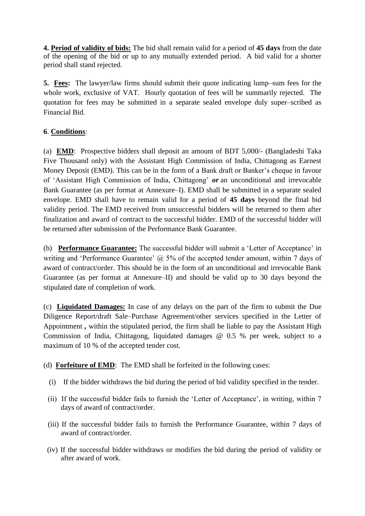**4. Period of validity of bids:** The bid shall remain valid for a period of **45 days** from the date of the opening of the bid or up to any mutually extended period. A bid valid for a shorter period shall stand rejected.

**5. Fees:** The lawyer/law firms should submit their quote indicating lump–sum fees for the whole work, exclusive of VAT. Hourly quotation of fees will be summarily rejected. The quotation for fees may be submitted in a separate sealed envelope duly super–scribed as Financial Bid.

## **6**. **Conditions**:

(a) **EMD**: Prospective bidders shall deposit an amount of BDT 5,000/- (Bangladeshi Taka Five Thousand only) with the Assistant High Commission of India, Chittagong as Earnest Money Deposit (EMD). This can be in the form of a Bank draft or Banker's cheque in favour of 'Assistant High Commission of India, Chittagong' *or* an unconditional and irrevocable Bank Guarantee (as per format at Annexure–I). EMD shall be submitted in a separate sealed envelope. EMD shall have to remain valid for a period of **45 days** beyond the final bid validity period. The EMD received from unsuccessful bidders will be returned to them after finalization and award of contract to the successful bidder. EMD of the successful bidder will be returned after submission of the Performance Bank Guarantee.

(b) **Performance Guarantee:** The successful bidder will submit a 'Letter of Acceptance' in writing and 'Performance Guarantee'  $\omega$ , 5% of the accepted tender amount, within 7 days of award of contract/order. This should be in the form of an unconditional and irrevocable Bank Guarantee (as per format at Annexure–II) and should be valid up to 30 days beyond the stipulated date of completion of work.

(c) **Liquidated Damages:** In case of any delays on the part of the firm to submit the Due Diligence Report/draft Sale–Purchase Agreement/other services specified in the Letter of Appointment *,* within the stipulated period, the firm shall be liable to pay the Assistant High Commission of India, Chittagong, liquidated damages @ 0.5 % per week, subject to a maximum of 10 % of the accepted tender cost.

(d) **Forfeiture of EMD**: The EMD shall be forfeited in the following cases:

- (i) If the bidder withdraws the bid during the period of bid validity specified in the tender.
- (ii) If the successful bidder fails to furnish the 'Letter of Acceptance', in writing, within 7 days of award of contract/order.
- (iii) If the successful bidder fails to furnish the Performance Guarantee, within 7 days of award of contract/order.
- (iv) If the successful bidder withdraws or modifies the bid during the period of validity or after award of work.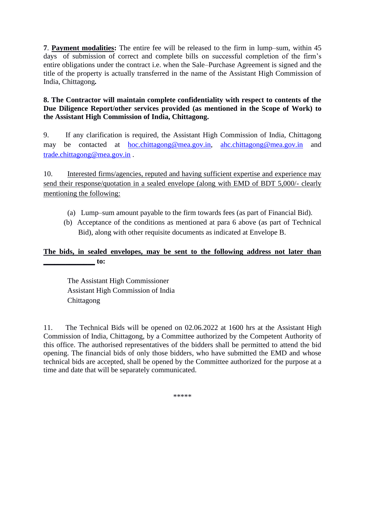**7**. **Payment modalities:** The entire fee will be released to the firm in lump–sum, within 45 days of submission of correct and complete bills on successful completion of the firm's entire obligations under the contract i.e. when the Sale–Purchase Agreement is signed and the title of the property is actually transferred in the name of the Assistant High Commission of India, Chittagong*.*

#### **8. The Contractor will maintain complete confidentiality with respect to contents of the Due Diligence Report/other services provided (as mentioned in the Scope of Work) to the Assistant High Commission of India, Chittagong.**

9. If any clarification is required, the Assistant High Commission of India, Chittagong may be contacted at [hoc.chittagong@mea.gov.in,](mailto:hoc.chittagong@mea.gov.in) [ahc.chittagong@mea.gov.in](mailto:ahc.chittagong@mea.gov.in) and [trade.chittagong@mea.gov.in](mailto:trade.chittagong@mea.gov.in) .

10. Interested firms/agencies, reputed and having sufficient expertise and experience may send their response/quotation in a sealed envelope (along with EMD of BDT 5,000/- clearly mentioning the following:

- (a) Lump–sum amount payable to the firm towards fees (as part of Financial Bid).
- (b) Acceptance of the conditions as mentioned at para 6 above (as part of Technical Bid), along with other requisite documents as indicated at Envelope B.

## **The bids, in sealed envelopes, may be sent to the following address not later than \_\_\_\_\_\_\_\_\_\_\_\_\_\_ to:**

The Assistant High Commissioner Assistant High Commission of India Chittagong

11. The Technical Bids will be opened on 02.06.2022 at 1600 hrs at the Assistant High Commission of India, Chittagong, by a Committee authorized by the Competent Authority of this office. The authorised representatives of the bidders shall be permitted to attend the bid opening. The financial bids of only those bidders, who have submitted the EMD and whose technical bids are accepted, shall be opened by the Committee authorized for the purpose at a time and date that will be separately communicated.

\*\*\*\*\*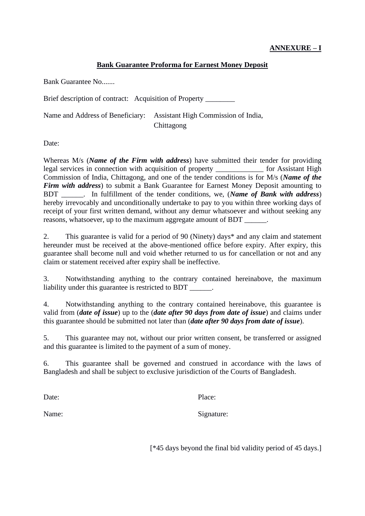## **ANNEXURE – I**

#### **Bank Guarantee Proforma for Earnest Money Deposit**

Bank Guarantee No.......

Brief description of contract: Acquisition of Property

Name and Address of Beneficiary: Assistant High Commission of India, Chittagong

Date:

Whereas M/s (*Name of the Firm with address*) have submitted their tender for providing legal services in connection with acquisition of property \_\_\_\_\_\_\_\_\_\_\_\_\_ for Assistant High Commission of India, Chittagong, and one of the tender conditions is for M/s (*Name of the Firm with address*) to submit a Bank Guarantee for Earnest Money Deposit amounting to BDT \_\_\_\_\_\_. In fulfillment of the tender conditions, we, (*Name of Bank with address*) hereby irrevocably and unconditionally undertake to pay to you within three working days of receipt of your first written demand, without any demur whatsoever and without seeking any reasons, whatsoever, up to the maximum aggregate amount of BDT  $\qquad \qquad$ .

2. This guarantee is valid for a period of 90 (Ninety) days\* and any claim and statement hereunder must be received at the above-mentioned office before expiry. After expiry, this guarantee shall become null and void whether returned to us for cancellation or not and any claim or statement received after expiry shall be ineffective.

3. Notwithstanding anything to the contrary contained hereinabove, the maximum liability under this guarantee is restricted to BDT  $\qquad \qquad$ .

4. Notwithstanding anything to the contrary contained hereinabove, this guarantee is valid from (*date of issue*) up to the (*date after 90 days from date of issue*) and claims under this guarantee should be submitted not later than (*date after 90 days from date of issue*).

5. This guarantee may not, without our prior written consent, be transferred or assigned and this guarantee is limited to the payment of a sum of money.

6. This guarantee shall be governed and construed in accordance with the laws of Bangladesh and shall be subject to exclusive jurisdiction of the Courts of Bangladesh.

Date: Place:

Name: Signature:

[\*45 days beyond the final bid validity period of 45 days.]